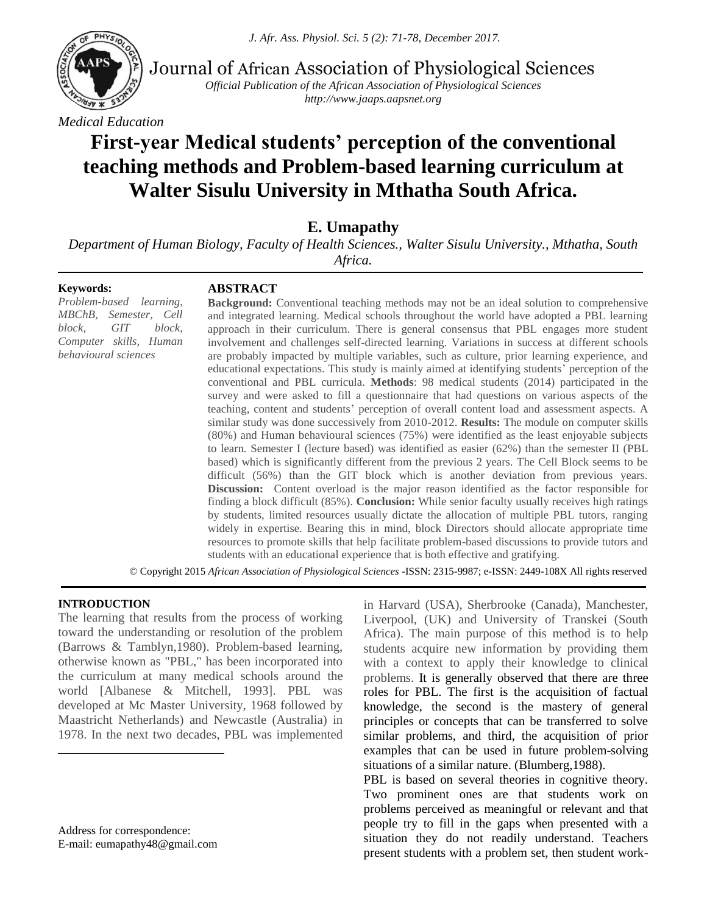*J. Afr. Ass. Physiol. Sci. 5 (2): 71-78, December 2017.*



Journal of African Association of Physiological Sciences

*Official Publication of the African Association of Physiological Sciences http://www.jaaps.aapsnet.org*

*Medical Education*

# **First-year Medical students' perception of the conventional teaching methods and Problem-based learning curriculum at Walter Sisulu University in Mthatha South Africa.**

**E. Umapathy**

*Department of Human Biology, Faculty of Health Sciences., Walter Sisulu University., Mthatha, South Africa.*

#### **Keywords:**

## **ABSTRACT**

*Problem-based learning, MBChB, Semester, Cell block, GIT block, Computer skills, Human behavioural sciences*

**Background:** Conventional teaching methods may not be an ideal solution to comprehensive and integrated learning. Medical schools throughout the world have adopted a PBL learning approach in their curriculum. There is general consensus that PBL engages more student involvement and challenges self-directed learning. Variations in success at different schools are probably impacted by multiple variables, such as culture, prior learning experience, and educational expectations. This study is mainly aimed at identifying students' perception of the conventional and PBL curricula. **Methods**: 98 medical students (2014) participated in the survey and were asked to fill a questionnaire that had questions on various aspects of the teaching, content and students' perception of overall content load and assessment aspects. A similar study was done successively from 2010-2012. **Results:** The module on computer skills (80%) and Human behavioural sciences (75%) were identified as the least enjoyable subjects to learn. Semester I (lecture based) was identified as easier (62%) than the semester II (PBL based) which is significantly different from the previous 2 years. The Cell Block seems to be difficult (56%) than the GIT block which is another deviation from previous years. **Discussion:** Content overload is the major reason identified as the factor responsible for finding a block difficult (85%). **Conclusion:** While senior faculty usually receives high ratings by students, limited resources usually dictate the allocation of multiple PBL tutors, ranging widely in expertise. Bearing this in mind, block Directors should allocate appropriate time resources to promote skills that help facilitate problem-based discussions to provide tutors and students with an educational experience that is both effective and gratifying.

. © Copyright 2015 *African Association of Physiological Sciences* -ISSN: 2315-9987; e-ISSN: 2449-108X All rights reserved

#### **INTRODUCTION<sup>1</sup>**

 $\overline{a}$ 

The learning that results from the process of working toward the understanding or resolution of the problem (Barrows & Tamblyn,1980). Problem-based learning, otherwise known as "PBL," has been incorporated into the curriculum at many medical schools around the world [Albanese & Mitchell, 1993]. PBL was developed at Mc Master University, 1968 followed by Maastricht Netherlands) and Newcastle (Australia) in 1978. In the next two decades, PBL was implemented

Address for correspondence: E-mail: eumapathy48@gmail.com in Harvard (USA), Sherbrooke (Canada), Manchester, Liverpool, (UK) and University of Transkei (South Africa). The main purpose of this method is to help students acquire new information by providing them with a context to apply their knowledge to clinical problems. It is generally observed that there are three roles for PBL. The first is the acquisition of factual knowledge, the second is the mastery of general principles or concepts that can be transferred to solve similar problems, and third, the acquisition of prior examples that can be used in future problem-solving situations of a similar nature. (Blumberg,1988).

PBL is based on several theories in cognitive theory. Two prominent ones are that students work on problems perceived as meaningful or relevant and that people try to fill in the gaps when presented with a situation they do not readily understand. Teachers present students with a problem set, then student work-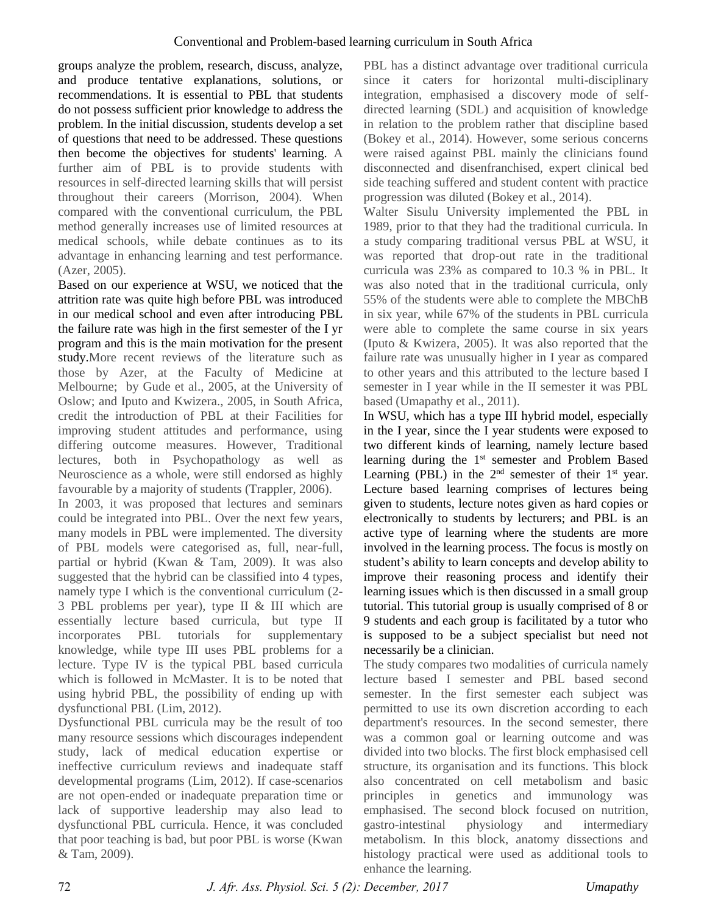groups analyze the problem, research, discuss, analyze, and produce tentative explanations, solutions, or recommendations. It is essential to PBL that students do not possess sufficient prior knowledge to address the problem. In the initial discussion, students develop a set of questions that need to be addressed. These questions then become the objectives for students' learning. A further aim of PBL is to provide students with resources in self-directed learning skills that will persist throughout their careers (Morrison, 2004). When compared with the conventional curriculum, the PBL method generally increases use of limited resources at medical schools, while debate continues as to its advantage in enhancing learning and test performance. (Azer, 2005).

Based on our experience at WSU, we noticed that the attrition rate was quite high before PBL was introduced in our medical school and even after introducing PBL the failure rate was high in the first semester of the I yr program and this is the main motivation for the present study.More recent reviews of the literature such as those by Azer, at the Faculty of Medicine at Melbourne; by Gude et al., 2005, at the University of Oslow; and Iputo and Kwizera., 2005, in South Africa, credit the introduction of PBL at their Facilities for improving student attitudes and performance, using differing outcome measures. However, Traditional lectures, both in Psychopathology as well as Neuroscience as a whole, were still endorsed as highly favourable by a majority of students (Trappler, 2006).

In 2003, it was proposed that lectures and seminars could be integrated into PBL. Over the next few years, many models in PBL were implemented. The diversity of PBL models were categorised as, full, near-full, partial or hybrid (Kwan & Tam, 2009). It was also suggested that the hybrid can be classified into 4 types, namely type I which is the conventional curriculum (2- 3 PBL problems per year), type II & III which are essentially lecture based curricula, but type II incorporates PBL tutorials for supplementary knowledge, while type III uses PBL problems for a lecture. Type IV is the typical PBL based curricula which is followed in McMaster. It is to be noted that using hybrid PBL, the possibility of ending up with dysfunctional PBL (Lim, 2012).

Dysfunctional PBL curricula may be the result of too many resource sessions which discourages independent study, lack of medical education expertise or ineffective curriculum reviews and inadequate staff developmental programs (Lim, 2012). If case-scenarios are not open-ended or inadequate preparation time or lack of supportive leadership may also lead to dysfunctional PBL curricula. Hence, it was concluded that poor teaching is bad, but poor PBL is worse (Kwan & Tam, 2009).

PBL has a distinct advantage over traditional curricula since it caters for horizontal multi-disciplinary integration, emphasised a discovery mode of selfdirected learning (SDL) and acquisition of knowledge in relation to the problem rather that discipline based (Bokey et al., 2014). However, some serious concerns were raised against PBL mainly the clinicians found disconnected and disenfranchised, expert clinical bed side teaching suffered and student content with practice progression was diluted (Bokey et al., 2014).

Walter Sisulu University implemented the PBL in 1989, prior to that they had the traditional curricula. In a study comparing traditional versus PBL at WSU, it was reported that drop-out rate in the traditional curricula was 23% as compared to 10.3 % in PBL. It was also noted that in the traditional curricula, only 55% of the students were able to complete the MBChB in six year, while 67% of the students in PBL curricula were able to complete the same course in six years (Iputo & Kwizera, 2005). It was also reported that the failure rate was unusually higher in I year as compared to other years and this attributed to the lecture based I semester in I year while in the II semester it was PBL based (Umapathy et al., 2011).

In WSU, which has a type III hybrid model, especially in the I year, since the I year students were exposed to two different kinds of learning, namely lecture based learning during the 1<sup>st</sup> semester and Problem Based Learning (PBL) in the  $2<sup>nd</sup>$  semester of their  $1<sup>st</sup>$  year. Lecture based learning comprises of lectures being given to students, lecture notes given as hard copies or electronically to students by lecturers; and PBL is an active type of learning where the students are more involved in the learning process. The focus is mostly on student's ability to learn concepts and develop ability to improve their reasoning process and identify their learning issues which is then discussed in a small group tutorial. This tutorial group is usually comprised of 8 or 9 students and each group is facilitated by a tutor who is supposed to be a subject specialist but need not necessarily be a clinician.

The study compares two modalities of curricula namely lecture based I semester and PBL based second semester. In the first semester each subject was permitted to use its own discretion according to each department's resources. In the second semester, there was a common goal or learning outcome and was divided into two blocks. The first block emphasised cell structure, its organisation and its functions. This block also concentrated on cell metabolism and basic principles in genetics and immunology was emphasised. The second block focused on nutrition, gastro-intestinal physiology and intermediary metabolism. In this block, anatomy dissections and histology practical were used as additional tools to enhance the learning.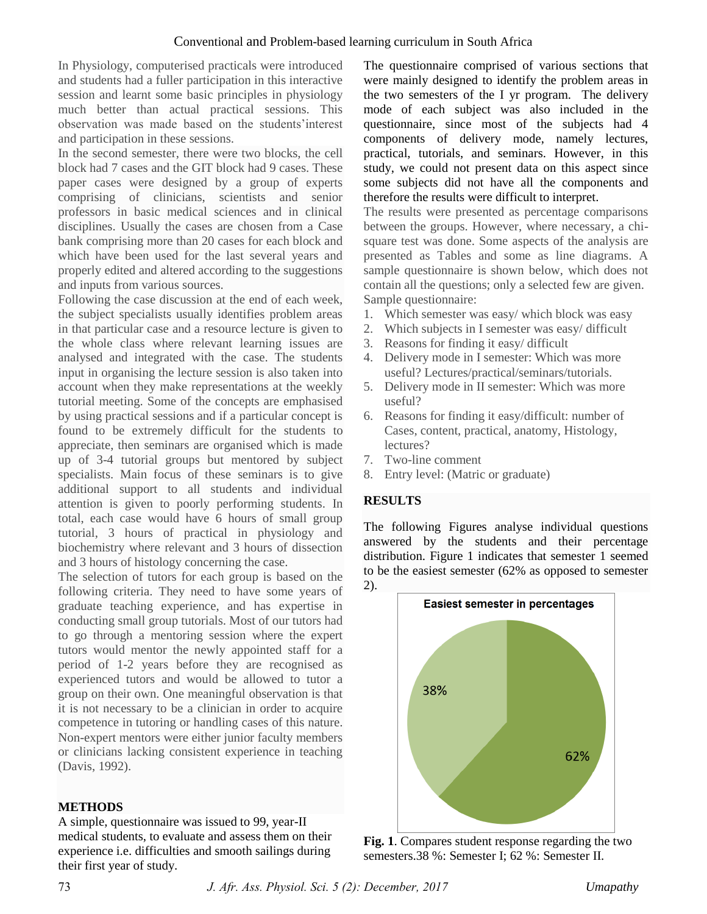In Physiology, computerised practicals were introduced and students had a fuller participation in this interactive session and learnt some basic principles in physiology much better than actual practical sessions. This observation was made based on the students'interest and participation in these sessions.

In the second semester, there were two blocks, the cell block had 7 cases and the GIT block had 9 cases. These paper cases were designed by a group of experts comprising of clinicians, scientists and senior professors in basic medical sciences and in clinical disciplines. Usually the cases are chosen from a Case bank comprising more than 20 cases for each block and which have been used for the last several years and properly edited and altered according to the suggestions and inputs from various sources.

Following the case discussion at the end of each week, the subject specialists usually identifies problem areas in that particular case and a resource lecture is given to the whole class where relevant learning issues are analysed and integrated with the case. The students input in organising the lecture session is also taken into account when they make representations at the weekly tutorial meeting. Some of the concepts are emphasised by using practical sessions and if a particular concept is found to be extremely difficult for the students to appreciate, then seminars are organised which is made up of 3-4 tutorial groups but mentored by subject specialists. Main focus of these seminars is to give additional support to all students and individual attention is given to poorly performing students. In total, each case would have 6 hours of small group tutorial, 3 hours of practical in physiology and biochemistry where relevant and 3 hours of dissection and 3 hours of histology concerning the case.

The selection of tutors for each group is based on the following criteria. They need to have some years of graduate teaching experience, and has expertise in conducting small group tutorials. Most of our tutors had to go through a mentoring session where the expert tutors would mentor the newly appointed staff for a period of 1-2 years before they are recognised as experienced tutors and would be allowed to tutor a group on their own. One meaningful observation is that it is not necessary to be a clinician in order to acquire competence in tutoring or handling cases of this nature. Non-expert mentors were either junior faculty members or clinicians lacking consistent experience in teaching (Davis, 1992).

## **METHODS**

A simple, questionnaire was issued to 99, year-II medical students, to evaluate and assess them on their experience i.e. difficulties and smooth sailings during their first year of study.

The questionnaire comprised of various sections that were mainly designed to identify the problem areas in the two semesters of the I yr program. The delivery mode of each subject was also included in the questionnaire, since most of the subjects had 4 components of delivery mode, namely lectures, practical, tutorials, and seminars. However, in this study, we could not present data on this aspect since some subjects did not have all the components and therefore the results were difficult to interpret.

The results were presented as percentage comparisons between the groups. However, where necessary, a chisquare test was done. Some aspects of the analysis are presented as Tables and some as line diagrams. A sample questionnaire is shown below, which does not contain all the questions; only a selected few are given. Sample questionnaire:

- 1. Which semester was easy/ which block was easy
- 2. Which subjects in I semester was easy/ difficult
- 3. Reasons for finding it easy/ difficult
- 4. Delivery mode in I semester: Which was more useful? Lectures/practical/seminars/tutorials.
- 5. Delivery mode in II semester: Which was more useful?
- 6. Reasons for finding it easy/difficult: number of Cases, content, practical, anatomy, Histology, lectures?
- 7. Two-line comment
- 8. Entry level: (Matric or graduate)

#### **RESULTS**

The following Figures analyse individual questions answered by the students and their percentage distribution. Figure 1 indicates that semester 1 seemed to be the easiest semester (62% as opposed to semester 2).



**Fig. 1**. Compares student response regarding the two semesters.38 %: Semester I; 62 %: Semester II.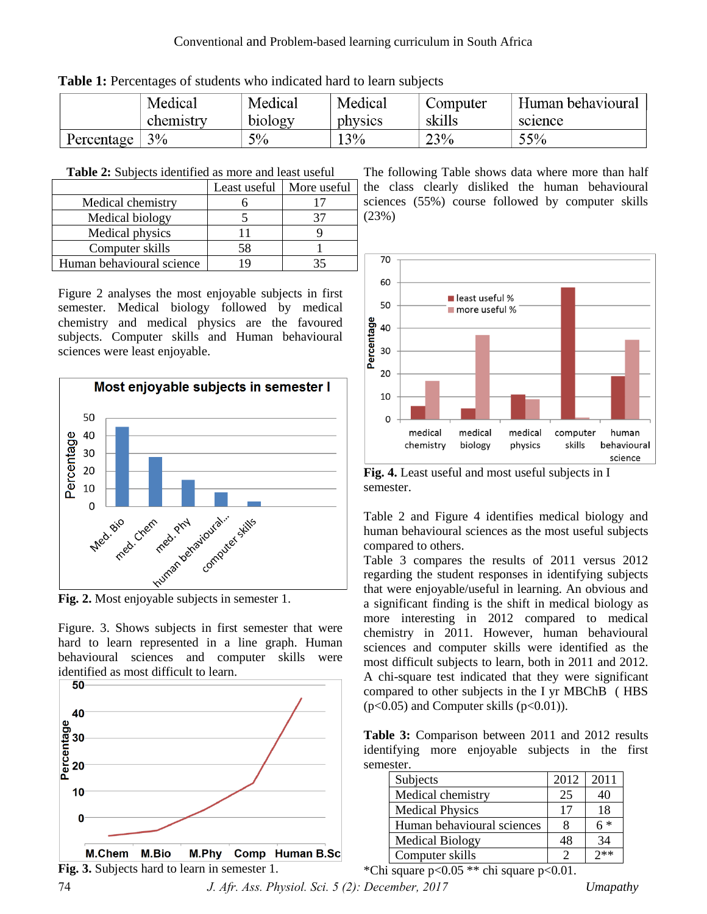|            | Medical   | Medical | Medical | Computer | Human behavioural |
|------------|-----------|---------|---------|----------|-------------------|
|            | chemistry | biology | physics | skills   | science           |
| Percentage | 3%        | $5\%$   | 3%      | 23%      | 55%               |

**Table 1:** Percentages of students who indicated hard to learn subjects

| Table 2: Subjects identified as more and least useful |  |
|-------------------------------------------------------|--|
|-------------------------------------------------------|--|

|                           | Least useful | More useful |
|---------------------------|--------------|-------------|
| Medical chemistry         |              |             |
| Medical biology           |              |             |
| Medical physics           |              |             |
| Computer skills           | 58           |             |
| Human behavioural science |              |             |

Figure 2 analyses the most enjoyable subjects in first semester. Medical biology followed by medical chemistry and medical physics are the favoured subjects. Computer skills and Human behavioural sciences were least enjoyable.



**Fig. 2.** Most enjoyable subjects in semester 1.

Figure. 3. Shows subjects in first semester that were hard to learn represented in a line graph. Human behavioural sciences and computer skills were identified as most difficult to learn.



The following Table shows data where more than half the class clearly disliked the human behavioural sciences (55%) course followed by computer skills (23%)



**Fig. 4.** Least useful and most useful subjects in I semester.

Table 2 and Figure 4 identifies medical biology and human behavioural sciences as the most useful subjects compared to others.

Table 3 compares the results of 2011 versus 2012 regarding the student responses in identifying subjects that were enjoyable/useful in learning. An obvious and a significant finding is the shift in medical biology as more interesting in 2012 compared to medical chemistry in 2011. However, human behavioural sciences and computer skills were identified as the most difficult subjects to learn, both in 2011 and 2012. A chi-square test indicated that they were significant compared to other subjects in the I yr MBChB ( HBS  $(p<0.05)$  and Computer skills  $(p<0.01)$ ).

**Table 3:** Comparison between 2011 and 2012 results identifying more enjoyable subjects in the first semester.

| Subjects                   | 2012 | 2011  |
|----------------------------|------|-------|
| Medical chemistry          | 25   | 40    |
| <b>Medical Physics</b>     | 17   | 18    |
| Human behavioural sciences |      | $6 *$ |
| <b>Medical Biology</b>     | 48   | 34    |
| Computer skills            | ာ    | $7**$ |

\*Chi square  $p<0.05$  \*\* chi square  $p<0.01$ .

74 *J. Afr. Ass. Physiol. Sci. 5 (2): December, 2017 Umapathy*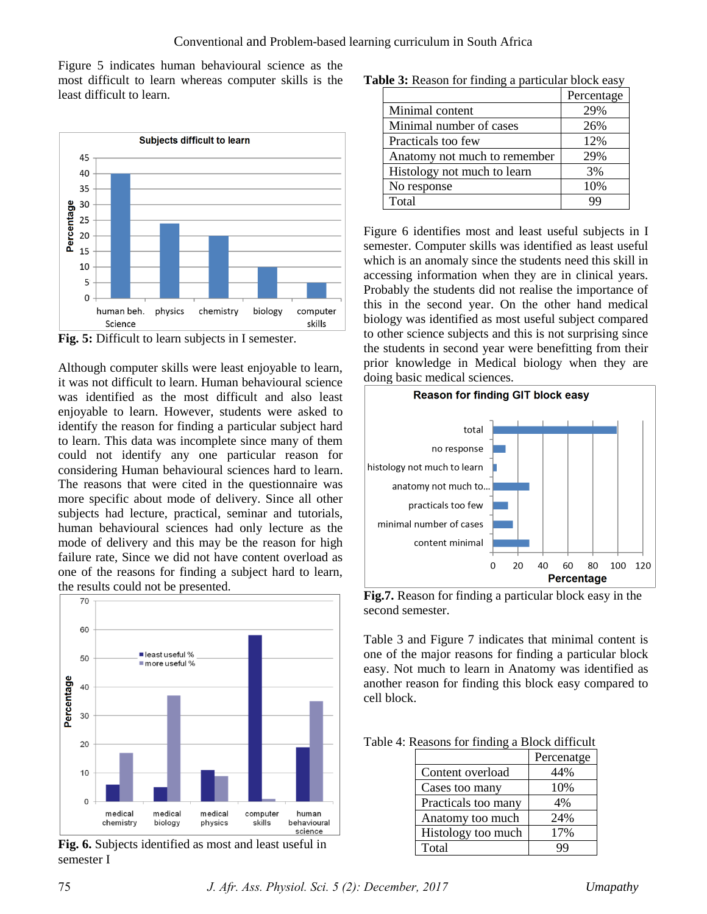Figure 5 indicates human behavioural science as the most difficult to learn whereas computer skills is the least difficult to learn.



**Fig. 5:** Difficult to learn subjects in I semester.

Although computer skills were least enjoyable to learn, it was not difficult to learn. Human behavioural science was identified as the most difficult and also least enjoyable to learn. However, students were asked to identify the reason for finding a particular subject hard to learn. This data was incomplete since many of them could not identify any one particular reason for considering Human behavioural sciences hard to learn. The reasons that were cited in the questionnaire was more specific about mode of delivery. Since all other subjects had lecture, practical, seminar and tutorials, human behavioural sciences had only lecture as the mode of delivery and this may be the reason for high failure rate, Since we did not have content overload as one of the reasons for finding a subject hard to learn, the results could not be presented.



**Fig. 6.** Subjects identified as most and least useful in semester I

|                              | Percentage |
|------------------------------|------------|
| Minimal content              | 29%        |
| Minimal number of cases      | 26%        |
| Practicals too few           | 12%        |
| Anatomy not much to remember | 29%        |
| Histology not much to learn  | 3%         |
| No response                  | 10%        |
| Total                        |            |

**Table 3:** Reason for finding a particular block easy

Figure 6 identifies most and least useful subjects in I semester. Computer skills was identified as least useful which is an anomaly since the students need this skill in accessing information when they are in clinical years. Probably the students did not realise the importance of this in the second year. On the other hand medical biology was identified as most useful subject compared to other science subjects and this is not surprising since the students in second year were benefitting from their prior knowledge in Medical biology when they are doing basic medical sciences.



**Fig.7.** Reason for finding a particular block easy in the second semester.

Table 3 and Figure 7 indicates that minimal content is one of the major reasons for finding a particular block easy. Not much to learn in Anatomy was identified as another reason for finding this block easy compared to cell block.

| Table 4: Reasons for finding a Block difficult |  |  |  |  |  |  |
|------------------------------------------------|--|--|--|--|--|--|
|------------------------------------------------|--|--|--|--|--|--|

|                     | Percenatge |
|---------------------|------------|
| Content overload    | 44%        |
| Cases too many      | 10%        |
| Practicals too many | 4%         |
| Anatomy too much    | 24%        |
| Histology too much  | 17%        |
| Total               | qq         |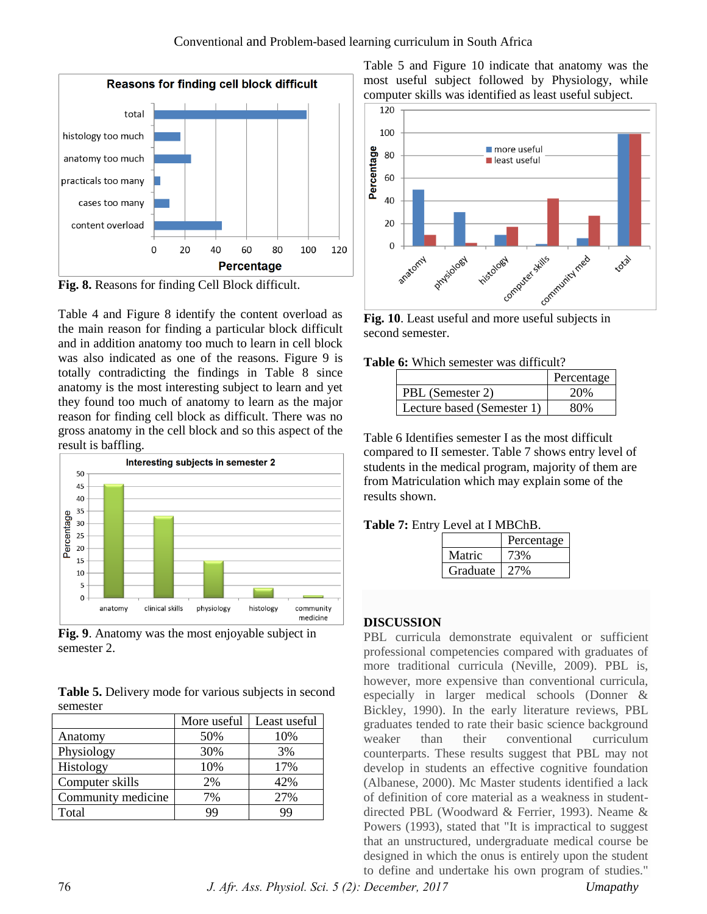

**Fig. 8.** Reasons for finding Cell Block difficult.

Table 4 and Figure 8 identify the content overload as the main reason for finding a particular block difficult and in addition anatomy too much to learn in cell block was also indicated as one of the reasons. Figure 9 is totally contradicting the findings in Table 8 since anatomy is the most interesting subject to learn and yet they found too much of anatomy to learn as the major reason for finding cell block as difficult. There was no gross anatomy in the cell block and so this aspect of the result is baffling.



**Fig. 9**. Anatomy was the most enjoyable subject in semester 2.

**Table 5.** Delivery mode for various subjects in second semester

|                    | More useful | Least useful |
|--------------------|-------------|--------------|
| Anatomy            | 50%         | 10%          |
| Physiology         | 30%         | 3%           |
| Histology          | 10%         | 17%          |
| Computer skills    | 2%          | 42%          |
| Community medicine | 7%          | 27%          |
| Total              | 99          | 99           |

Table 5 and Figure 10 indicate that anatomy was the most useful subject followed by Physiology, while computer skills was identified as least useful subject.



second semester.

|  |  | <b>Table 6:</b> Which semester was difficult? |
|--|--|-----------------------------------------------|
|  |  |                                               |

|                            | Percentage |
|----------------------------|------------|
| PBL (Semester 2)           | 20%        |
| Lecture based (Semester 1) | $80\%$     |

Table 6 Identifies semester I as the most difficult compared to II semester. Table 7 shows entry level of students in the medical program, majority of them are from Matriculation which may explain some of the results shown.

## **Table 7:** Entry Level at I MBChB.

|          | Percentage |
|----------|------------|
| Matric   | 3%         |
| Graduate |            |

#### **DISCUSSION**

PBL curricula demonstrate equivalent or sufficient professional competencies compared with graduates of more traditional curricula (Neville, 2009). PBL is, however, more expensive than conventional curricula, especially in larger medical schools (Donner & Bickley, 1990). In the early literature reviews, PBL graduates tended to rate their basic science background weaker than their conventional curriculum counterparts. These results suggest that PBL may not develop in students an effective cognitive foundation (Albanese, 2000). Mc Master students identified a lack of definition of core material as a weakness in studentdirected PBL (Woodward & Ferrier, 1993). Neame & Powers (1993), stated that "It is impractical to suggest that an unstructured, undergraduate medical course be designed in which the onus is entirely upon the student to define and undertake his own program of studies."

76 *J. Afr. Ass. Physiol. Sci. 5 (2): December, 2017 Umapathy*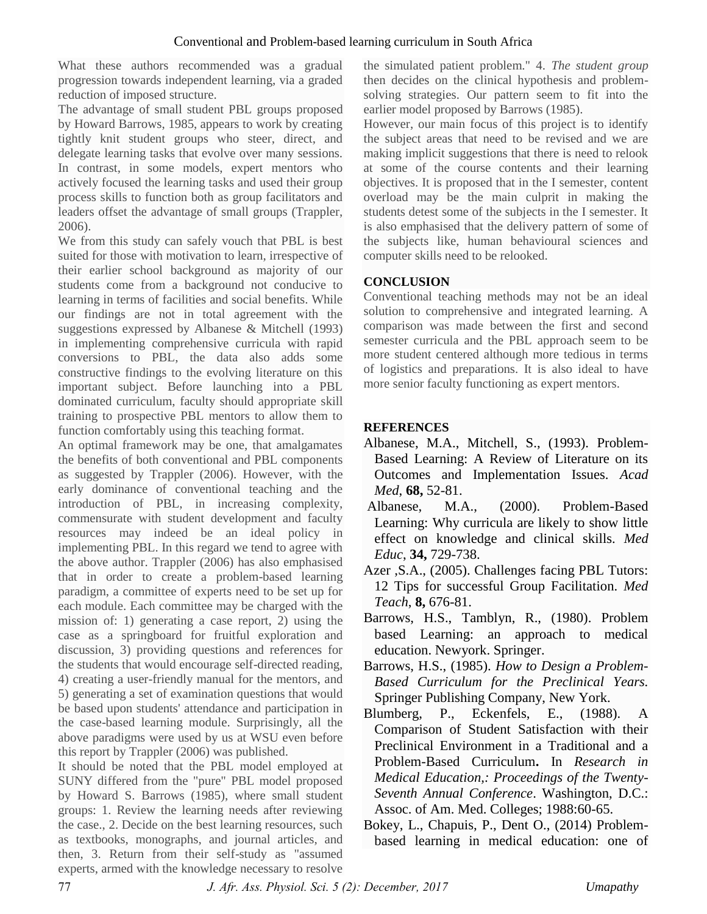What these authors recommended was a gradual progression towards independent learning, via a graded reduction of imposed structure.

The advantage of small student PBL groups proposed by Howard Barrows, 1985, appears to work by creating tightly knit student groups who steer, direct, and delegate learning tasks that evolve over many sessions. In contrast, in some models, expert mentors who actively focused the learning tasks and used their group process skills to function both as group facilitators and leaders offset the advantage of small groups (Trappler, 2006).

We from this study can safely vouch that PBL is best suited for those with motivation to learn, irrespective of their earlier school background as majority of our students come from a background not conducive to learning in terms of facilities and social benefits. While our findings are not in total agreement with the suggestions expressed by Albanese & Mitchell (1993) in implementing comprehensive curricula with rapid conversions to PBL, the data also adds some constructive findings to the evolving literature on this important subject. Before launching into a PBL dominated curriculum, faculty should appropriate skill training to prospective PBL mentors to allow them to function comfortably using this teaching format.

An optimal framework may be one, that amalgamates the benefits of both conventional and PBL components as suggested by Trappler (2006). However, with the early dominance of conventional teaching and the introduction of PBL, in increasing complexity, commensurate with student development and faculty resources may indeed be an ideal policy in implementing PBL. In this regard we tend to agree with the above author. Trappler (2006) has also emphasised that in order to create a problem-based learning paradigm, a committee of experts need to be set up for each module. Each committee may be charged with the mission of: 1) generating a case report, 2) using the case as a springboard for fruitful exploration and discussion, 3) providing questions and references for the students that would encourage self-directed reading, 4) creating a user-friendly manual for the mentors, and 5) generating a set of examination questions that would be based upon students' attendance and participation in the case-based learning module. Surprisingly, all the above paradigms were used by us at WSU even before this report by Trappler (2006) was published.

It should be noted that the PBL model employed at SUNY differed from the "pure" PBL model proposed by Howard S. Barrows (1985), where small student groups: 1. Review the learning needs after reviewing the case., 2. Decide on the best learning resources, such as textbooks, monographs, and journal articles, and then, 3. Return from their self-study as "assumed experts, armed with the knowledge necessary to resolve

the simulated patient problem." 4. *The student group*  then decides on the clinical hypothesis and problemsolving strategies. Our pattern seem to fit into the earlier model proposed by Barrows (1985).

However, our main focus of this project is to identify the subject areas that need to be revised and we are making implicit suggestions that there is need to relook at some of the course contents and their learning objectives. It is proposed that in the I semester, content overload may be the main culprit in making the students detest some of the subjects in the I semester. It is also emphasised that the delivery pattern of some of the subjects like, human behavioural sciences and computer skills need to be relooked.

# **CONCLUSION**

Conventional teaching methods may not be an ideal solution to comprehensive and integrated learning. A comparison was made between the first and second semester curricula and the PBL approach seem to be more student centered although more tedious in terms of logistics and preparations. It is also ideal to have more senior faculty functioning as expert mentors.

# **REFERENCES**

- Albanese, M.A., Mitchell, S., (1993). Problem-Based Learning: A Review of Literature on its Outcomes and Implementation Issues. *Acad Med*, **68,** 52-81.
- Albanese, M.A., (2000). Problem-Based Learning: Why curricula are likely to show little effect on knowledge and clinical skills. *Med Educ*, **34,** 729-738.
- Azer ,S.A., (2005). Challenges facing PBL Tutors: 12 Tips for successful Group Facilitation. *Med Teach*, **8,** 676-81.
- Barrows, H.S., Tamblyn, R., (1980). Problem based Learning: an approach to medical education. Newyork. Springer.
- Barrows, H.S., (1985). *How to Design a Problem-Based Curriculum for the Preclinical Years.*  Springer Publishing Company, New York.
- Blumberg, P., Eckenfels, E., (1988). A Comparison of Student Satisfaction with their Preclinical Environment in a Traditional and a Problem-Based Curriculum**.** In *Research in Medical Education,: Proceedings of the Twenty-Seventh Annual Conference*. Washington, D.C.: Assoc. of Am. Med. Colleges; 1988:60-65.
- Bokey, L., Chapuis, P., Dent O., (2014) Problembased learning in medical education: one of